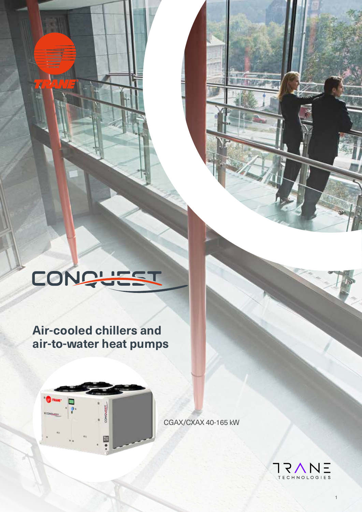# CONQUEST

### **Air-cooled chillers and air-to-water heat pumps**



CGAX/CXAX 40-165 kW

**MARKE** 



1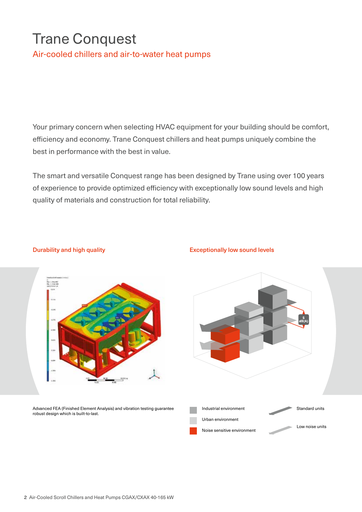### Trane Conquest

Air-cooled chillers and air-to-water heat pumps

Your primary concern when selecting HVAC equipment for your building should be comfort, efficiency and economy. Trane Conquest chillers and heat pumps uniquely combine the best in performance with the best in value.

The smart and versatile Conquest range has been designed by Trane using over 100 years of experience to provide optimized efficiency with exceptionally low sound levels and high quality of materials and construction for total reliability.

#### Durability and high quality **Exceptionally low sound levels**



Advanced FEA (Finished Element Analysis) and vibration testing guarantee robust design which is built-to-last.

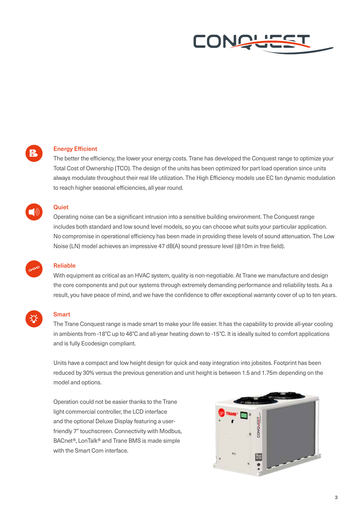



#### Energy Efficient

The better the efficiency, the lower your energy costs. Trane has developed the Conquest range to optimize your Total Cost of Ownership (TCO). The design of the units has been optimized for part load operation since units always modulate throughout their real life utilization. The High Efficiency models use EC fan dynamic modulation to reach higher seasonal efficiencies, all year round.



#### **Quiet**

Operating noise can be a significant intrusion into a sensitive building environment. The Conquest range includes both standard and low sound level models, so you can choose what suits your particular application. No compromise in operational efficiency has been made in providing these levels of sound attenuation. The Low Noise (LN) model achieves an impressive 47 dB(A) sound pressure level (@10m in free field).



#### Reliable

With equipment as critical as an HVAC system, quality is non-negotiable. At Trane we manufacture and design the core components and put our systems through extremely demanding performance and reliability tests. As a result, you have peace of mind, and we have the confidence to offer exceptional warranty cover of up to ten years.



#### **Smart**

The Trane Conquest range is made smart to make your life easier. It has the capability to provide all-year cooling in ambients from -18°C up to 46°C and all-year heating down to -15°C. It is ideally suited to comfort applications and is fully Ecodesign compliant.

Units have a compact and low height design for quick and easy integration into jobsites. Footprint has been reduced by 30% versus the previous generation and unit height is between 1.5 and 1.75m depending on the model and options.

Operation could not be easier thanks to the Trane light commercial controller, the LCD interface and the optional Deluxe Display featuring a userfriendly 7" touchscreen. Connectivity with Modbus, BACnet®, LonTalk® and Trane BMS is made simple with the Smart Com interface.

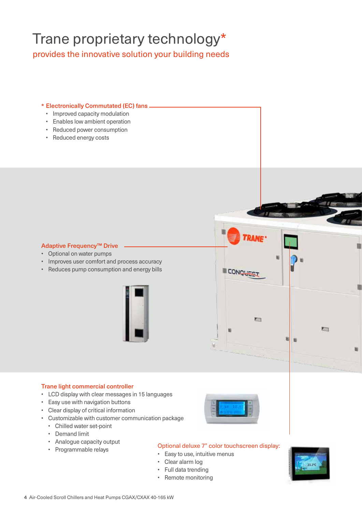### Trane proprietary technology\*

provides the innovative solution your building needs

#### Electronically Commutated (EC) fans \*

- Improved capacity modulation
- Enables low ambient operation
- Reduced power consumption
- Reduced energy costs

#### Adaptive Frequency™ Drive

- Optional on water pumps
- Improves user comfort and process accuracy
- Reduces pump consumption and energy bills



#### Trane light commercial controller

- LCD display with clear messages in 15 languages
- Easy use with navigation buttons
- Clear display of critical information
- Customizable with customer communication package
	- Chilled water set-point
	- Demand limit
	- Analogue capacity output
	-



**CONQUES** 

n

#### • Analogue capacity output<br>• Programmable relays **Optional deluxe 7" color touchscreen display:**

- Easy to use, intuitive menus
- Clear alarm log
- Full data trending
- Remote monitoring



m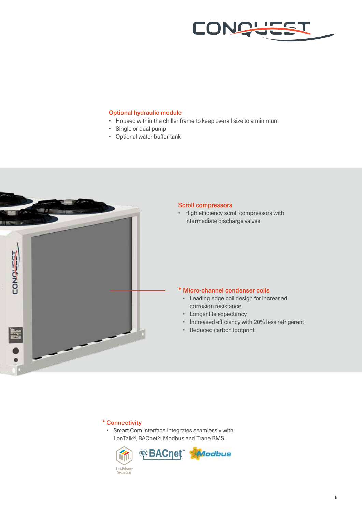

#### Optional hydraulic module

- Housed within the chiller frame to keep overall size to a minimum
- Single or dual pump
- Optional water buffer tank



#### Connectivity \*

• Smart Com interface integrates seamlessly with LonTalk®, BACnet®, Modbus and Trane BMS

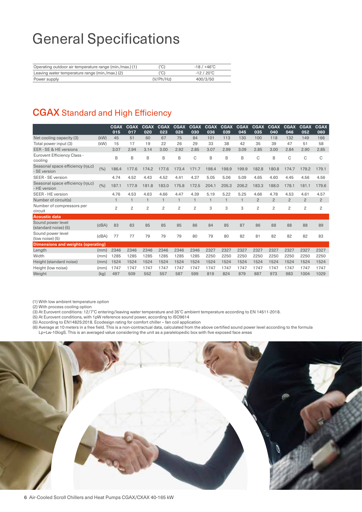### General Specifications

| Operating outdoor air temperature range (min./max.) (1) | (°C)      | $-18/+46^{\circ}$ C |
|---------------------------------------------------------|-----------|---------------------|
| Leaving water temperature range (min./max.) (2)         | (°C)      | $-12/20^{\circ}$ C  |
| Power supply                                            | (V/Ph/Hz) | 400/3/50            |

#### CGAX Standard and High Efficiency

|                                                  |       | <b>CGAX</b><br>015 | <b>CGAX</b><br>017 | <b>CGAX</b><br>020 | <b>CGAX</b><br>023 | <b>CGAX</b><br>026 | <b>CGAX</b><br>030 | <b>CGAX</b><br>036 | <b>CGAX</b><br>039 | <b>CGAX</b><br>045 | <b>CGAX</b><br>035 | <b>CGAX</b><br>040 | <b>CGAX</b><br>046 | <b>CGAX</b><br>052 | <b>CGAX</b><br>060 |
|--------------------------------------------------|-------|--------------------|--------------------|--------------------|--------------------|--------------------|--------------------|--------------------|--------------------|--------------------|--------------------|--------------------|--------------------|--------------------|--------------------|
| Net cooling capacity (3)                         | (kW)  | 45                 | 51                 | 60                 | 67                 | 75                 | 84                 | 101                | 113                | 130                | 100                | 118                | 132                | 149                | 166                |
| Total power input (3)                            | (kW)  | 15                 | 17                 | 19                 | 22                 | 26                 | 29                 | 33                 | 38                 | 42                 | 35                 | 39                 | 47                 | 51                 | 58                 |
| EER - SE & HE versions                           |       | 3.07               | 2.94               | 3.14               | 3.00               | 2.92               | 2.85               | 3.07               | 2.99               | 3.09               | 2.85               | 3.00               | 2.84               | 2.90               | 2.85               |
| <b>Eurovent Efficiency Class -</b><br>cooling    |       | B                  | B                  | B                  | B                  | B                  | C                  | B                  | B                  | B                  | C                  | B                  | C                  | C                  | C                  |
| Seasonal space efficiency (ns,c)<br>- SE version | (9/0) | 186.4              | 177.6              | 174.2              | 177.6              | 173.4              | 171.7              | 198.4              | 198.9              | 199.9              | 182.8              | 180.8              | 174.7              | 179.2              | 179.1              |
| SEER - SE version                                |       | 4.74               | 4.52               | 4.43               | 4.52               | 4.41               | 4.37               | 5.05               | 5.06               | 5.09               | 4.65               | 4.60               | 4.45               | 4.56               | 4.56               |
| Seasonal space efficiency (ns,c)<br>- HE version | (%)   | 187.1              | 177.9              | 181.8              | 183.0              | 175.8              | 172.5              | 204.1              | 205.3              | 206.2              | 183.3              | 188.0              | 178.1              | 181.1              | 179.6              |
| SEER - HE version                                |       | 4.76               | 4.53               | 4.63               | 4.66               | 4.47               | 4.39               | 5.19               | 5.22               | 5.25               | 4.66               | 4.78               | 4.53               | 4.61               | 4.57               |
| Number of circuit(s)                             |       | $\mathbf{1}$       |                    | $\mathbf{1}$       |                    | $\mathbf{1}$       |                    | $\overline{1}$     | $\overline{1}$     | $\overline{1}$     | $\overline{2}$     | $\overline{2}$     | $\overline{2}$     | $\overline{2}$     | $\overline{2}$     |
| Number of compressors per<br>circuit             |       | $\overline{c}$     | $\overline{c}$     | 2                  | $\overline{c}$     | 2                  | 2                  | 3                  | 3                  | 3                  | $\overline{c}$     | $\overline{c}$     | $\overline{c}$     | $\overline{c}$     | $\overline{c}$     |
| <b>Acoustic data</b>                             |       |                    |                    |                    |                    |                    |                    |                    |                    |                    |                    |                    |                    |                    |                    |
| Sound power level<br>(standard noise) (5)        | (dBA) | 83                 | 83                 | 85                 | 85                 | 85                 | 86                 | 84                 | 85                 | 87                 | 86                 | 88                 | 88                 | 88                 | 89                 |
| Sound power level<br>(low noise) (5)             | (dBA) | 77                 | 77                 | 79                 | 79                 | 79                 | 80                 | 79                 | 80                 | 82                 | 81                 | 82                 | 82                 | 82                 | 83                 |
| <b>Dimensions and weights (operating)</b>        |       |                    |                    |                    |                    |                    |                    |                    |                    |                    |                    |                    |                    |                    |                    |
| Length                                           | (mm)  | 2346               | 2346               | 2346               | 2346               | 2346               | 2346               | 2327               | 2327               | 2327               | 2327               | 2327               | 2327               | 2327               | 2327               |
| Width                                            | (mm)  | 1285               | 1285               | 1285               | 1285               | 1285               | 1285               | 2250               | 2250               | 2250               | 2250               | 2250               | 2250               | 2250               | 2250               |
| Height (standard noise)                          | (mm)  | 1524               | 1524               | 1524               | 1524               | 1524               | 1524               | 1524               | 1524               | 1524               | 1524               | 1524               | 1524               | 1524               | 1524               |
| Height (low noise)                               | (mm)  | 1747               | 1747               | 1747               | 1747               | 1747               | 1747               | 1747               | 1747               | 1747               | 1747               | 1747               | 1747               | 1747               | 1747               |
| Weight                                           | (kg)  | 497                | 509                | 552                | 557                | 587                | 599                | 819                | 824                | 879                | 887                | 973                | 983                | 1004               | 1029               |

(1) With low ambient temperature option

(2) With process cooling option

(3) At Eurovent conditions: 12/7°C entering/leaving water temperature and 35°C ambient temperature according to EN 14511-2018.

(5) At Eurovent conditions, with 1pW reference sound power, according to ISO9614

(5) According to EN14825:2018. Ecodesign rating for comfort chiller – fan coil application

(6) Average at 10 meters in a free field. This is a non-contractual data, calculated from the above certified sound power level according to the formula Lp=Lw-10logS. This is an averaged value considering the unit as a paralelopedic box with five exposed face areas

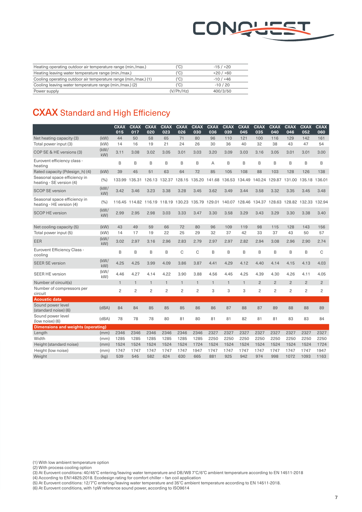

| Heating operating outdoor air temperature range (min./max.)     | '°C)      | $-15/120$  |
|-----------------------------------------------------------------|-----------|------------|
| Heating leaving water temperature range (min./max.)             | (°C)      | $+20/+60$  |
| Cooling operating outdoor air temperature range (min./max.) (1) | (°C)      | $-10/ +46$ |
| Cooling leaving water temperature range (min./max.) (2)         | (°C)      | $-10/20$   |
| Power supply                                                    | (V/Ph/Hz) | 400/3/50   |

#### CXAX Standard and High Efficiency

|                                                          |            | <b>CXAX</b><br>015 | <b>CXAX</b><br>017 | <b>CXAX</b><br>020 | <b>CXAX</b><br>023 | <b>CXAX</b><br>026          | <b>CXAX</b><br>030 | <b>CXAX</b><br>036 | <b>CXAX</b><br>039 | <b>CXAX</b><br>045   | <b>CXAX</b><br>035 | <b>CXAX</b><br>040 | <b>CXAX</b><br>046 | <b>CXAX</b><br>052   | <b>CXAX</b><br>060 |
|----------------------------------------------------------|------------|--------------------|--------------------|--------------------|--------------------|-----------------------------|--------------------|--------------------|--------------------|----------------------|--------------------|--------------------|--------------------|----------------------|--------------------|
| Net heating capacity (3)                                 | (kW)       | 44                 | 50                 | 58                 | 65                 | 71                          | 80                 | 96                 | 110                | 121                  | 100                | 116                | 129                | 142                  | 161                |
| Total power input (3)                                    | (kW)       | 14                 | 16                 | 19                 | 21                 | 24                          | 26                 | 30                 | 36                 | 40                   | 32                 | 38                 | 43                 | 47                   | 54                 |
| COP SE & HE versions (3)                                 | (kW)<br>kW | 3.11               | 3.08               | 3.02               | 3.05               | 3.01                        | 3.03               | 3.20               | 3.09               | 3.03                 | 3.16               | 3.05               | 3.01               | 3.01                 | 3.00               |
| Eurovent efficiency class -<br>heating                   |            | B                  | B                  | B                  | B                  | B                           | B                  | A                  | B                  | B                    | B                  | B                  | B                  | B                    | B                  |
| Rated capacity (Pdesign h) (4)                           | (kW)       | 39                 | 45                 | 51                 | 63                 | 64                          | 72                 | 85                 | 105                | 108                  | 88                 | 103                | 128                | 126                  | 138                |
| Seasonal space efficiency in<br>heating - SE version (4) | (9/0)      | 133.99             | 135.31             |                    |                    | 126.13 132.37 128.15 135.20 |                    |                    |                    | 141.68 136.53 134.49 | 140.24             | 129.87             | 131.00             | 135.18 136.01        |                    |
| <b>SCOP SE version</b>                                   | (kW)<br>kW | 3.42               | 3.46               | 3.23               | 3.38               | 3.28                        | 3.45               | 3.62               | 3.49               | 3.44                 | 3.58               | 3.32               | 3.35               | 3.45                 | 3.48               |
| Seasonal space efficiency in<br>heating - HE version (4) | (%)        | 116.45             | 114.82             | 116.19 118.19      |                    | 130.23                      | 135.79             | 129.01             | 140.07             | 128.46               | 134.37             | 128.63             |                    | 128.82 132.33 132.94 |                    |
| <b>SCOP HE version</b>                                   | (kW/<br>kW | 2.99               | 2.95               | 2.98               | 3.03               | 3.33                        | 3.47               | 3.30               | 3.58               | 3.29                 | 3.43               | 3.29               | 3.30               | 3.38                 | 3.40               |
| Net cooling capacity (5)                                 | (kW)       | 43                 | 49                 | 59                 | 66                 | 72                          | 80                 | 96                 | 109                | 119                  | 98                 | 115                | 128                | 143                  | 156                |
| Total power input (5)                                    | (kW)       | 14                 | 17                 | 19                 | 22                 | 25                          | 29                 | 32                 | 37                 | 42                   | 33                 | 37                 | 43                 | 50                   | 57                 |
| <b>EER</b>                                               | (kW)<br>kW | 3.02               | 2.97               | 3.16               | 2.96               | 2.83                        | 2.79               | 2.97               | 2.97               | 2.82                 | 2.94               | 3.08               | 2.96               | 2.90                 | 2.74               |
| <b>Eurovent Efficiency Class -</b><br>cooling            |            | B                  | B                  | B                  | B                  | C                           | C                  | B                  | B                  | B                    | B                  | B                  | B                  | B                    | C                  |
| <b>SEER SE version</b>                                   | (kW)<br>kW | 4.25               | 4.25               | 3.99               | 4.09               | 3.86                        | 3.87               | 4.41               | 4.29               | 4.12                 | 4.40               | 4.14               | 4.15               | 4.13                 | 4.03               |
| <b>SEER HE version</b>                                   | (kW/<br>kW | 4.46               | 4.27               | 4.14               | 4.22               | 3.90                        | 3.88               | 4.56               | 4.45               | 4.25                 | 4.39               | 4.30               | 4.26               | 4.11                 | 4.05               |
| Number of circuit(s)                                     |            | $\mathbf{1}$       | $\mathbf{1}$       | $\mathbf{1}$       | $\mathbf{1}$       | $\mathbf{1}$                | $\mathbf{1}$       | $\mathbf{1}$       | $\mathbf{1}$       | $\mathbf{1}$         | $\overline{2}$     | $\overline{c}$     | $\overline{2}$     | $\overline{c}$       | $\overline{c}$     |
| Number of compressors per<br>circuit                     |            | $\overline{c}$     | $\overline{c}$     | $\overline{c}$     | $\overline{c}$     | $\overline{c}$              | $\overline{c}$     | 3                  | 3                  | 3                    | $\overline{c}$     | $\overline{c}$     | $\overline{c}$     | $\overline{c}$       | 2                  |
| <b>Acoustic data</b>                                     |            |                    |                    |                    |                    |                             |                    |                    |                    |                      |                    |                    |                    |                      |                    |
| Sound power level<br>(standard noise) (6)                | (dBA)      | 84                 | 84                 | 85                 | 85                 | 85                          | 86                 | 86                 | 87                 | 88                   | 87                 | 89                 | 88                 | 88                   | 89                 |
| Sound power level<br>(low noise) (6)                     | (dBA)      | 78                 | 78                 | 78                 | 80                 | 81                          | 80                 | 81                 | 81                 | 82                   | 81                 | 81                 | 83                 | 83                   | 84                 |
| <b>Dimensions and weights (operating)</b>                |            |                    |                    |                    |                    |                             |                    |                    |                    |                      |                    |                    |                    |                      |                    |
| Length                                                   | (mm)       | 2346               | 2346               | 2346               | 2346               | 2346                        | 2346               | 2327               | 2327               | 2327                 | 2327               | 2327               | 2327               | 2327                 | 2327               |
| Width                                                    | (mm)       | 1285               | 1285               | 1285               | 1285               | 1285                        | 1285               | 2250               | 2250               | 2250                 | 2250               | 2250               | 2250               | 2250                 | 2250               |
| Height (standard noise)                                  | (mm)       | 1524               | 1524               | 1524               | 1524               | 1524                        | 1724               | 1524               | 1524               | 1524                 | 1524               | 1524               | 1524               | 1524                 | 1724               |
| Height (low noise)                                       | (mm)       | 1747               | 1747               | 1747               | 1747               | 1747                        | 1947               | 1747               | 1747               | 1747                 | 1747               | 1747               | 1747               | 1747                 | 1947               |
| Weight                                                   | (kg)       | 539                | 545                | 582                | 624                | 630                         | 665                | 881                | 925                | 942                  | 974                | 998                | 1072               | 1093                 | 1163               |

(1) With low ambient temperature option

(2) With process cooling option

(3) At Eurovent conditions: 40/45°C entering/leaving water temperature and DB/WB 7°C/6°C ambient temperature according to EN 14511-2018

(4) According to EN14825:2018. Ecodesign rating for comfort chiller – fan coil application

(5) At Eurovent conditions: 12/7°C entering/leaving water temperature and 35°C ambient temperature according to EN 14511-2018.

(6) At Eurovent conditions, with 1pW reference sound power, according to ISO9614